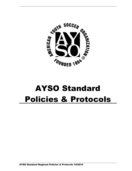

# AYSO Standard Policies & Protocols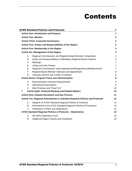## Contents

|    |             | <b>AYSO Standard Policies and Protocols</b>                                  | 1              |
|----|-------------|------------------------------------------------------------------------------|----------------|
|    |             | <b>Article One: Introduction and Purpose</b>                                 | 1              |
|    |             | <b>Article Two: Mission</b>                                                  | $\mathbf{2}$   |
|    |             | <b>Article Three: Corporate Governance</b>                                   | $\mathbf{2}$   |
|    |             | Article Four: Duties and Responsibilities of the Region                      | $\overline{2}$ |
|    |             | Article Five: Membership in the Region                                       | 3              |
|    |             | <b>Article Six: Management of the Region</b>                                 | 4              |
|    | А.          | Regional Commissioner and Regional Board Member Composition                  | 4              |
|    | В.          | Duties and Responsibilities of Mandatory Regional Board Positions            | 5              |
|    | C.          | Meetings                                                                     | $\overline{7}$ |
|    | D.          | Voting and Veto Powers                                                       | $\overline{7}$ |
|    | Е.          | Regional Commissioner Initial Appointment/Reappointment/Replacement          | $\overline{7}$ |
|    | F.          | Regional Board Member Selection and Appointment                              | 8              |
|    | G.          | Voluntary Service and Conflict of Interest                                   | 8              |
|    |             | Article Seven: Program Vision and Administration                             | 9              |
|    | А.          | <b>Representative Visionary Requirements</b>                                 | 9              |
|    | В.          | <b>Operational Expectations</b>                                              | 9              |
|    | $C_{-}$     | Best Practices and "How-To's"                                                | 10             |
| L. |             | <b>Article Eight: Financial Banking and Related Matters</b>                  | 10             |
|    |             | <b>Article Nine: Dispute Resolution and Due Process</b>                      | 11             |
|    |             | Article Ten: Regional Amendments to Standard Regional Policies and Protocols | 12             |
|    | Α.          | Adoption of AYSO Standard Regional Policies & Protocols                      | 12             |
|    | В.          | Amendment to the AYSO Standard Regional Policies & Procedures                | 12             |
|    | $C_{\cdot}$ | Publication of P&Ps and Addendums                                            | 13             |
|    |             | AYSO Standard Regional Policies & Protocols - Attachments                    | 13             |
|    | Α.          | SR P&Ps Addendum Form                                                        | 13             |
|    | В.          | Additional Region Policies and Guidelines                                    | 15             |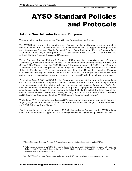## AYSO Standard Policies and Protocols

## Article One: Introduction and Purpose

Welcome to the heart of the American Youth Soccer Organization – its Region.

The AYSO Region is where "the beautiful game of soccer" meets the children of our cities, townships and counties and in the process educates and develops our Nation's young people through AYSO's six philosophies of Everyone Plays®, Balanced Teams, Open Registration, Positive Coaching, Good Sportsmanship and Player Development. (See AYSO National Bylaws, Section 1.01 and Article Two of these Standard Regional Policies and Protocols.)

These Standard Regional Policies & Protocols<sup>1</sup> (P&Ps) have been established as a Governing Document by the National Board of Directors (NBOD) pursuant to the authority granted in Article One, Section 1.03(a)(6) and (11) of the AYSO National Bylaws and in support of AYSO's other Governing Documents (Articles of Incorporation, National Bylaws, National Policy Statements and National Rules & Regulations).<sup>2</sup> They are designed to inform the Regional Leadership (Regional Commissioner and Regional Board Members) about how an AYSO Region must be administered, and to assure a successful and rewarding experience by our AYSO volunteers, players andfamilies.

Pursuant to Bylaw 1.04(l) and NPS 6.1, the Region has the responsibility to operate in accordance with these P&Ps unless the Region has obtained permission from the NBOD or its delegate to vary from these requirements, through the addendum process set forth in Article Ten of these P&Ps. Any such variation must also comply with any Rules & Regulations appropriately adopted by the Region's Area Director and/or Section Director, pursuant to Bylaw 8.03. To the extent that there may be any contradiction or conflict between these P&Ps, including any approved Addendum thereto and other AYSO Governing Documents, the other AYSO Governing Documents will prevail.<sup>3</sup>

While these P&Ps are intended to advise AYSO's local leaders about what is required to operate a Region, suggested "Best Practices" about how to operate a successful Region can be found within the AYSO Reference Book Chapter 8.

Finally, know that you are not alone; Your NBOD, Section and Area Directors and the AYSO National Office Staff stand ready to support you and all who you serve. So, if you have questions, just ask!

<sup>1</sup>These Standard Regional Policies & Protocols are abbreviated and referred to as the P&Ps.

 $2$  References to some of AYSO's Governing Documents have been abbreviated for ease of use, as follows; AYSO National Bylaws = Bylaws; AYSO National Rules & Regulations = R&Rs; and AYSO National Policy Statements = NPS.

 $3$  All of AYSO's Governing Documents, including these P&Ps, are available on-line at [www.ayso.org.](http://www.ayso.org/)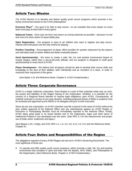## Article Two: Mission

The AYSO Mission is to develop and deliver quality youth soccer programs which promote a fun, family environment based on the AYSO philosophies:

Everyone Plays<sup>®</sup> - Our goal is for kids to play soccer—so we mandate that every player on every team must play at least half of every game.

**Balanced Teams** - Each year we form new teams as evenly balanced as possible—because it is fair and more fun when teams of equal ability play.

**Open Registration** - Our program is open to all children who want to register and play soccer. Interest and enthusiasm are the only criteria for playing.

**Positive Coaching** - Encouragement of player effort provides for greater enjoyment by the players and ultimately leads to better-skilled and better-motivated players.

**Good Sportsmanship** - We strive to create a safe, fair, fun and positive environment based on mutual respect, rather than a win-at-all-costs attitude, and our program is designed to instill good sportsmanship in every facet of AYSO.

**Player Development** - We believe that all players should be able to develop their soccer skills and knowledge to the best of their abilities, both individually and as members of a team, in order to maximize their enjoyment of the game.

(*See* Bylaw 1.01 and Reference Book, Chapter 5, AYSO Fundamentals.)

## Article Three: Corporate Governance

AYSO is a single California corporation. Each Region is a part of that corporate entity and, as such, the assets and liabilities of the Region belong to the Corporation. Similarly, it is possible for the conduct of a Regional Board Member to impose legal obligations upon AYSO. Consequently, all material contracts in excess of one year duration, including proposed leases of fields or property must be reviewed and approved by the NBOD or its delegate and prior to their execution.

Since we are one corporation, no AYSO volunteer may file a lawsuit in the name of AYSO without the prior written approval of the National Office and any claim/lawsuit against an AYSO Region or Executive or Participating Member must be immediately reported to the National Office. Finally, AYSO takes great pride in its brand identity and in the trademarks, logos and other items of Intellectual Property it has developed over the years. (See NPS 1.1 for the requirements and proper use of trade name, trademark and logos.)

(See Bylaws 1.03, 1.04(p), and 9.02; NPS 1.1, 1.3, 3.5, 3.6, 3.11, 4.5, 5.3; and the Reference Book, Chapter 8.)

## Article Four: Duties and Responsibilities of the Region

The obligations required of every AYSO Region are set out in AYSO's Governing Documents. The most significant of those are:

A. To operate and offer quality youth soccer programs, which promote a safe, fair, fun and positive environment that complies in spirit and letter with the Bylaws, NPS, R&Rs, and Philosophies of the Organization. (See Reference Book, Chapter 5, AYSO Fundamentals.)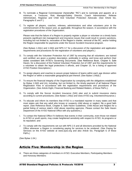- B. To nominate a Regional Commissioner (hereinafter "RC") and to nominate and appoint, at a minimum, a Treasurer, Risk Manager/Safety Director, Coach Administrator, Referee Administrator, Registrar and Child And Volunteer Protection Advocate. (See Article Six, Paragraphs E and F.)
- C. To register all players, coaches, referees, administrators and other volunteers prior to the commencement of the season and, as applicable, throughout the season, in accordance with the registration procedures of the Organization;

Please note that the failure of a Region to properly register a player or volunteer on a timely basis presents significant risk management and insurance issues that could result in severe sanctions, including but not limited to, revocation of the Region's charter, removal of the RC, and/or holding the Region responsible for payments under the Soccer Accident Insurance program.

(See Bylaws 1.04(c) and 1.04(t) and NPS 3.7 for a discussion of the registration and application requirements and procedures for the registration of volunteers and players.)

- D. To comply with the Volunteer Protection Act of 1997 by ensuring that all volunteers: are trained and certified; are given a position description, preferably in writing; and know and perform their duties consistent with AYSO's Governing Documents. (See Reference Book, Chapter 9, Safe Haven, for a discussion of the Federal Volunteer Protection Act of 1997 and the requirements for a volunteer to obtain the legal protections it affords, and Chapter 15, for a listing of approved AYSO Position Descriptions.)
- E. To assign players and coaches to assure proper balance of teams within each age division within the Region or within a reasonable geographical part thereof; (See Bylaw 1.04(d).)
- F. To ensure the financial integrity of the Organization by complying with the obligations established by Bylaw 1.04(l) and (m), including, but not limited to, the timely payment of all National Player Registration Fees in accordance with the registration requirements and procedures of the Organization. (See Article Eight, Financial Banking and Related Matters, of these P&Ps.);
- G. To comply with the Soccer Accident Insurance (SAI) plan and to submit insurance claims according to current procedures; (See Bylaw 1.04(o) and [www.AYSO.org,](http://www.ayso.org/) Volunteers/Insurance.)
- H. To educate and inform its members that AYSO is a mandated reporter in many states and that most states ask that any adult who knows or suspects child abuse or neglect, file a good faith report. (See Reference Book, Chapter 9, Safe Haven Guidelines, Child Abuse and Neglect for a partial listing of various state's child abuse reporting agencies. Please contact the Safe Haven Department of the AYSO National Office with any questions.);
- I. To contact the National Office if it believes that events in their community, even those not related to AYSO or youth sports, may create heightened sensitivity with respect to AYSO, its programs or its reputation; and
- J. To comply with the requirements set out with NPS 2.5 and all directions provided by the National Office whenever a Region is considering paying for services to be rendered. (See Paying for Services on the AYSO website at [www.ayso.org](http://www.ayso.org/) and also Article Six, Paragraph G of these P&Ps.)

(See Bylaw 1.04.)

## Article Five: Membership in the Region

A. There are three categories of members in AYSO: Executive Members, Participating Members and Honorary Members: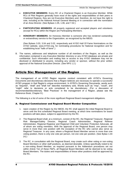- **EXECUTIVE MEMBERS**: Every RC of a Chartered Region is an Executive Member. While RCs of Pilot Regions generally have most of the rights and responsibilities of their peers in Chartered Regions, they are not Executive Members and, therefore, do not have the right to vote, including at the National Annual General Meeting or in connection with the nomination of an Area Director. (See Bylaws 1.05, 1.06, and 7.02.)
- **PARTICIPATING MEMBERS**: All properly registered and accepted players and volunteers (except for RCs) within the Region are Participating Members.
- **HONORARY MEMBERS**: An Honorary Member is someone who has rendered outstanding or extraordinary service to the Organization, as recognized by the NBOD.

(See Bylaws 3.03, 3.04 and 3.02, respectively and AYSO Hall Of Fame Nominations on the AYSO website, [www.AYSO.org, f](http://www.ayso.org/)or nominating procedures for National recognition and for establishing local "halls of fame".)

B. The names, addresses and telephone number of all members of the Region, as well as the information contained in any Executive Member directory or any AYSO database are private and confidential. Such information and mailing lists or access to any AYSO database may not be disclosed or distributed to anyone, including any vendor or sponsor, without the prior written approval of the National Executive Director. (See NPS 1.2.)

## Article Six: Management of the Region

The management of an AYSO Region requires conduct consistent with AYSO's Governing Documents and discretionary decisions that a Region believes are necessary to operate a successful AYSO program in that Region's unique environment. In AYSO's Governing Documents, words such as "required", "shall" and "shall not" describe mandatory acts. Words such as "may", "could", and "might" refer to decisions or acts considered to be discretionary. (For a discussion of recommended/discretionary "Best Practices" in the management of a Region, please see the Reference Book, Chapter 8.)

The following is a list of some of the more significant Regional Board management obligations.

#### <span id="page-7-0"></span>A. Regional Commissioner and Regional Board Member Composition

- 1. Upon creation of the Region by the NBOD, the RC shall appoint the initial Regional Board to serve until the first scheduled Regional Board meeting, at which time nominations for board positions will take place, subject to appointment by the RC.
- 2. The Regional Board shall, at a minimum, consist of the RC, the Regional Treasurer, Regional Risk Manager/Safety Director, Regional Coach Administrator, Regional Referee Administrator, Regional Registrar and Regional Child and Volunteer Protection Advocate, all of whom are voting members. With the approval of the Regional Board, one person may serve in more than one position with the exception of the RC who cannot also serve as Regional Treasurer. In any case, where a Regional Board Member serves in more than one voting position, there is only one vote per person, not one vote per position. (See Bylaw 1.04 (n).)
- 3. The RC, in consultation with the Regional Board, may create such other voting or non-voting Board Members or other staff positions, as deemed desirable. Unless specifically noted to be a non-voting Board Member, as required pursuant to the Addendum procedures set out within Article Ten of these P&Ps, all Regional Board Members will be deemed to be voting Board Members. The duties and responsibilities of these other positions shall be approved by the RC.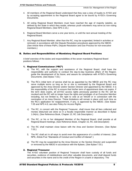- 4. All members of the Regional Board understand that they owe a duty of loyalty to AYSO and by accepting appointment to the Regional Board agree to be bound by AYSO's Governing **Documents**
- 5. All voting Regional Board Members must have reached the age of majority (adults), as defined by the State in which they reside, whereas youth volunteers may serve as non-voting Regional Board Members. (See NPS 2.15.)
- 6. Regional Board Members serve a one year terms, or until the next annual meeting of the Regional Board.
- 7. Any Regional Board Member, other than the RC, may be suspended, limited in activities or removed, in accordance with the Dispute Resolution procedures approved by the NBOD. (See Article Nine of these P&Ps, Dispute Resolution and Due Process for non-executive members.)

#### <span id="page-8-0"></span>B. Duties and Responsibilities of Mandatory Regional Board Positions

A brief overview of the duties and responsibilities of the seven mandatory Regional Board positions follows:

#### 1. Regional Commissioner ("RC")

- a) The RC, with the support and assistance of the Regional Board, shall have the responsibility and authority to conduct the day-to-day business affairs of the Region; guide the development of its future; and assure its compliance with AYSO's Governing Documents. (See Bylaw 7.03.)
- b) The RC's initial term of service shall be as appointed by the NBOD and the RC may serve multiple terms so long as he or she is nominated by the Regional Board and approved by the Area Director and/or Section Director and appointed by the NBOD. It is the responsibility of the RC to ensure that his/her term of appointment does not expire. If the term does expire, all eAYSO access rights previously granted to the RC will be revoked and the RC will no longer have the rights and privileges of an Executive Member including, but not limited to, the right to vote at an NAGM or in connection with the nomination of an Area Director. These limitations will remain in place until such time as the RC's application for reappointment, if any, is approved by the NBOD. (See Bylaw 7.05 and NPS 4.6; see also Policy for Access Rights.
- c) The RC, in concert with the Regional Treasurer, shall insure that all fees collected and monies disbursed are done so in a fiscally responsible manner as described in Bylaw 1.04(m). (See Reference Book, Chapter 15, RC Job Description.)
- d) The RC, or his or her delegated Member of the Regional Board, shall preside at all Regional Board meetings. (See Reference Book, Chapter 15, RC Job Description)
- e) The RC shall maintain close liaison with the Area and Section Directors. (See Bylaw 7.03.)
- f) The RC shall act in all ways to avoid even the appearance of a conflict of interest. (See NPS, Article Five "Standards of Conduct and Conflict of Interest".)
- g) The RC may be suspended by the Area Director or the Section Director and suspended or removed by the NBOD in accordance with the Bylaws. (See Bylaw 7.03.)

#### 2. Regional Treasurer

The AYSO volunteer position of Regional Treasurer shall have custody of all funds and securities, evidence of indebtedness and other valuable documents, and shall deposit funds and securities in the name and to the credit of the Region in a bank or depository. The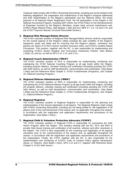Treasurer shall comply with AYSO's Governing Documents, including but not be limited to the following obligations: the preparation and maintenance of the Region's financial statements and their dissemination to the Region's participants and the National Office, the timely payment of all National Player Registration Fees, the full participation of the Region in the National Accounting Program, including NAP Online, the AYSO Policy on the Reimbursement of Expenses Incurred by the Region's Members, proper bank account maintenance and, AYSO's Player Refund Policy. (See Bylaws 1.04(l) and (m); NPS 3.1, 3.2, 3.9 and 3.10; and the AYSO Treasurer Manual, Accounts Receivable Section.)

#### 3. Regional Risk Manager/Safety Director

The AYSO volunteer position of Regional Risk Manager/Safety Director shall be responsible for the overall aspects of the Region's safety including the safe condition of the Region's equipment, goals and fields and for ensuring that the Region's players, volunteers and parents are aware of AYSO's Soccer Accident Insurance (SAI), and AYSO's Incident Report Procedures. This position, together with the RC, is also responsible for implementing and monitoring AYSO's Severe Weather and Concussion Awareness Policies. (See Bylaws 1.04(e), (f), and (o), as well as NPS 2.10, 2.13, and 2.14.)

#### 4. Regional Coach Administrator ("RCA")

The AYSO volunteer position of RCA is responsible for implementing, monitoring and maintaining the AYSO National Coaching Program at all age levels within the Region, including program delivery, volunteer training and certification (including assisting the CVPA with Safe Haven), as well as staff development, communication and coordination. (See Bylaw 1.04(q) and the Reference Book Chapter 5, AYSO Fundamentals (Programs), and Chapter 10, National Coaching Program.)

#### 5. Regional Referee Administrator ("RRA")

The AYSO volunteer position of RRA is responsible for implementing, monitoring and maintaining the AYSO National Referee Program at all age levels within the Region, including the program delivery, volunteer training and certification (including assisting the CVPA with Safe Haven), as well as staff development, communication and coordination. (See Bylaw 1.04(q) and the Reference Book Chapter 5, AYSO Fundamentals (Programs), and Chapter 11, National Referee Program.)

#### 6. Regional Registrar

The AYSO volunteer position of Regional Registrar is responsible for the planning and implementation of the annual registration of all players. The Regional Registrar shall comply with AYSO's Governing Documents, including but not being limited to: the registration of all players prior to the commencement of the season and, as applicable, throughout the season, in accordance with the registration and application requirements and procedures of the Organization. (*See* Bylaw 1.04(c).)

#### 7. Regional Child & Volunteer Protection Advocate ("CVPA")

The AYSO volunteer position of Regional CVPA is responsible for overseeing the Safe Haven Program within the Region. This includes working with the RC, RCA and RRA to provide Safe Haven training and certification of all coaches, referees and other volunteers in the Region. The CVPA is also responsible for the screening and registration of all regional volunteers prior to the commencement of the season and, as applicable throughout the season, in accordance with the registration and application requirements and procedures of the Organization. Finally, the CVPA, together with the RC, is also responsible for the implementation and monitoring of AYSO's Code of Conduct Policy against Harassment, Abuse, or Violence. (See Bylaw 1.04(c), NPS 2.12 and 3.7, together with Reference Book, Chapter 9, AYSO Safe Haven.)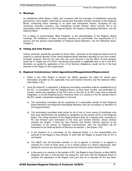#### <span id="page-10-0"></span>C. Meetings

As established within Bylaw 1.04(k), and consistent with the principles of established corporate governance, every Region shall hold an annual and thereafter periodic meetings of the Regional Board, conducting these meetings in an open and transparent fashion, excepting for any necessary executive sessions, and maintaining minutes thereof, which minutes are to be reasonably made available to the Regional Board, the Region's Participating Members, and the National Office.

For a listing of recommended "Best Practices" in the administration of the Region's Board meetings, the limitations of when executive sessions are permissible, the requirements of a quorum and the general responsibilities of Regional Board Members, see the Reference Book, Chapter 8.

#### <span id="page-10-1"></span>D. Voting and Veto Powers

Unless otherwise specifically provided by these P&Ps, decisions of the Regional Board must be made by a majority decision of the voting Regional Board Members deciding on any such matter; provided, however, that the RC may veto any such decision if (a) the effect of such decision would be to violate any of AYSO's Governing Documents or applicable law or (b) in the RC's discretion, as guided by application of his or her fiduciary obligations, would not be in the best interests of the Region or the Organization.

#### <span id="page-10-2"></span>E. Regional Commissioner Initial Appointment/Reappointment/Replacement

- 1. When a new Pilot Region is formed, the NBOD appoints the initial RC based upon information provided by the applicable Area and Section Directors and the National Office. (See Bylaw 1.05.)
- 2. Once the Initial RC is appointed, a Regional nominating committee shall be established by (i) the RC, in consultation with the Regional Board, at least three months, and preferably six months, before the expiration of the RC's term or the end of an RC's term due to planned resignation, or (ii) the Regional Board, whenever there is a vacancy in the RC position due to the RC's death, unexpected resignation or removal.
	- a) The nominating committee will be comprised of a reasonable number of both Regional Board Members and Regional Participating Members who are not players or Members of the Regional Board.
	- b) The nominating committee shall submit its list of one or more names of individuals who they have determined to be qualified as candidates for the position of RC to the Regional Board. The voting members of the Regional Board shall, by a majority vote, nominate an RC and forward such nomination to the Area and Section Director, whose territory includes the Region. If both the Area Director and Section Director approve of the nomination of the person as Regional Commissioner, then the nomination will be forwarded to the National Board of Directors for election. ( See Bylaw 7.03)
	- c) In the absence of a nomination by the Regional Board, it is the responsibility and authority of the Region's Area Director to work with the Region to ensure that an RC is nominated.
	- d) The NBOD has full discretion whether or not to appoint a nominee or to appoint a nominee for a term of three years or for a shorter period as it deems appropriate, after taking into account any input provided by the Area Director and/or Section Director.
	- e) In the event of a vacancy in the position of RC, the Region's Area Director or other NBOD designee will step in and become the acting RC and work with the Regional Board to continue the operations of the Region until such time as a nominee for RC has been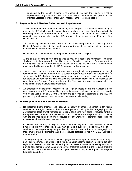appointed by the NBOD. If there is no appointed RC, then the Region will not be represented at any vote for an Area Director or have a vote at an NAGM. (See Executive Member Selection Protocol under Best Practices in the Reference Book.)

#### <span id="page-11-0"></span>F. Regional Board Member Selection and Appointment

- 1. At least one month prior to the annual meeting of the Region, or from time to time as may be needed, the RC shall appoint a nominating committee of not less than three individuals, consisting of Regional Board Members, one of whom shall serve as the Chair of the committee, and a reasonable number of Participating Members, who are not Members of the Regional Board.
- 2. The nominating committee shall publicize to the Participating Members of the Region the Regional Board positions to be voted upon, recruit candidates and accept the names of interested candidates for consideration.
- 3. Regional Board Members need not be parents of players in the Region.
- 4. At the annual meeting or from time to time as may be needed, the nominating committee shall present to the outgoing Regional Board a list of qualified candidates. By majority vote of the outgoing Regional Board Members present and voting, the final list of recommended nominees shall be presented to the RC for approval and appointment.
- 5. The RC may choose not to appoint a nominee to a Regional Board position, even though recommended, if the RC deems there is sufficient reason not to make the appointment. In such case, the RC shall ask the nominating committee to recommend additional candidates for approval and appointment. This inclusive and democratic process should be followed any time there are Regional Board positions to be filled, with the only exception being the appointment of the inaugural Regional Board.
- 6. An emergency or unplanned vacancy on the Regional Board before the expiration of the term, except that of RC, may be filled by a replacement candidate nominated by a majority vote of the voting Regional Board Members and approved and appointed by the RC. The person filling such vacancy shall serve until the next annual meeting.

#### <span id="page-11-1"></span>G. Voluntary Service and Conflict of Interest

- 1. No Regional Board Member shall receive monetary or other compensation for his/her services to the Region related to their volunteer position. Nothing in this paragraph prohibits any Regional Board or staff member, or Regional participant, from being reimbursed for his or her appropriate out-of-pocket expenses incurred on behalf of the Region and in accordance with the expense reimbursement procedures set out within the Reference Book, Regional Operations, Financial Matters and NPS 3.1.
- 2. Consistent with NPS 5, no Regional Board Member may use his/her position to benefit him/herself directly or indirectly in any way, such as a supplier of equipment, materials or services to the Region except as permitted by NPS 2.5 and Article Four, Paragraph J of these P&Ps (Paying Volunteers) and the procedures established within NPS 5.3 (Conflict of Interest Policy).
- 3. The Region may not reduce or eliminate a player fee based upon volunteer work done by a participant's parents or guardians. This rule does not impact the Region's ability to set early registration discounts available to all participants, to create volunteer recognition programs, to provide scholarship programs and provide other programs available in the Region's program. No fee distinction shall be made based upon parental or player participation in Regional fundraising activities.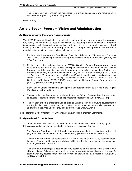4. The Region may not condition the registration of a player based upon any requirement of volunteer participation by a parent or guardian.

(See NPS 5.)

## <span id="page-12-0"></span>Article Seven: Program Vision and Administration

#### <span id="page-12-1"></span>A. Representative Visionary Requirements

The AYSO Mission of "Developing and delivering quality youth soccer programs which promote a fun, family environment" is best accomplished by assuring quality educational programs, implementing well-structured administrative systems, having an integral volunteer network focusing on AYSO's development; and guaranteeing a strong financial position. The following is a partial listing of acts necessary to best achieve these goals:

- 1. Regions must implement the Safe Haven, Coaching, Referee, and Management Programs, with a focus on providing volunteer training opportunities throughout the year. (See Bylaws 1.04(h) and (q).)
- 2. Regions must, at a minimum, implement AYSO's Standard Primary Program on an annual basis and, to the best of their ability, participate year-round in the other various National Programs available and indicate which programs are available within their Policies and Protocols which may include but not limited to: VIP, EXTRA™, Kids Zone™, a (U5), U-16/U-19, Soccerfest, Tournaments, and NAASA - AYSO Adult, together with attending leadership events such as RC Training, Nationally-supported Section events (Section Conferences/Meetings, AYSO EXPOS, etc.) and the National Annual General Meeting (NAGM). (See Bylaw 1.04(q) and (s).)
- 3. Player and volunteer recruitment, development and retention must be a focus of the Region. (See Bylaw 1.04(h) and (r).)
- 4. To assure that the Region enjoys a vibrant future, the RC and Regional Board are expected to develop reasonable fundraising and sponsorship opportunities. (See Bylaw 1.04(m).)
- 5. The creation of both a short-term and long-range Strategic Plan for the future development of the Region is critically necessary and, once created, must be periodically reviewed and updated with the Area Director providing approval. (See Bylaw 1.04(r).)

(See Reference Book, Chapter 5, AYSO Fundamentals, Mission Statement Comments.)

#### <span id="page-12-2"></span>B. Operational Expectations

A number of concrete steps is required to meet the previously stated visionary goals. The following is a partial list of many most often achieved by successful Regions:

- 1. The Regional Board shall establish and communicate annually the registration fee for each player, as well as have a documented refund policy. (See Bylaw 3.06 and NPS 3.10.)
- 2. Teams must be formed as established in Articles II and III of the R&Rs, assuring proper balance of teams within each age division within the Region or within a reasonable part thereof. (See Bylaw 1.04(d).)
- 3. The only team member(s) a head coach may specify to be on his/her team is his/her own child or children. Otherwise, there shall be no automatic retention of players on any specific team or with any specific coach from the previous season. (See R&Rs Article II, Paragraph G and Bylaw 1.04(d).)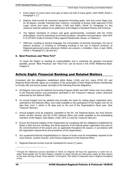- 4. Every player on every team must play at least one-half of every game; (See R&Rs Article I, Paragraph  $C.1$ <sup>4</sup>
- 5. Regions shall provide all necessary equipment (including goals, nets and corner flags) and, for all players, provide matching team uniforms, consisting of jerseys (with approved AYSO Logo), shorts and socks. (See Bylaw 1.04(f) and R&Rs, Article VI, Paragraph A.) Any variances shall be outlined as an addendum to the Region's Standard Policies and Protocols.
- 6. The highest standards of conduct and good sportsmanship, consistent with the AYSO philosophies, must be maintained at all times by player, volunteers and spectators. (See NPS 2.12 (AYSO's Code of Conduct Policy against Harassment, Abuse, or Violence).)
- 7. Offensive, insulting or abusive language, the consumption of alcoholic beverages, the use of tobacco products, or smoking or simulating smoking or the use of tobacco products, at Regional-sponsored events whenever children are present, is forbidden. (See, in part, R&Rs Article I, Paragraph E.1 (d) and (e).)

#### <span id="page-13-0"></span>C. Best Practices and "How-To's"

To assist the Region in meeting its responsibilities and in achieving the greatest successes possible, proven "Best Practices" and "How-To's" can be found in the AYSO Reference Book, Chapter 8.

## Article Eight: Financial Banking and Related Matters

Consistent with the obligations established within Bylaw 1.04(l) and (m), every AYSO RC and Regional Board Member agree as a condition of the assumption of their Regional Board membership to comply with and assure proper oversight of the following financial obligations:

- A. All Regions must use the National Accounting Program (NAP) and NAP Online and must adhere to the financial policies and procedures described in the Treasurer's Manual, unless otherwise authorized by the National Office.
- B. An annual budget must be adopted that provides the basis for setting player registration fees, submitted to the National Office, and made available to the participants of the Region and AD no later than June 1, which is 30 days prior to the end of the Organization's fiscal year; (See Treasurer Manual.)
- C. Annual budgets must be prepared, submitted to the RC, the Regional Board, the Area Director and/or Section Director and the AYSO National Office and made available to the participating members of the Region; (See Bylaw 1.04(l), NPS 3.2 and the Treasurer Manual.)
- D. Ensure the financial integrity of the Organization by complying with the obligations established by Bylaw 1.04(l) and (m), including, the timely payment of all national player registration fees prior to the commencement of the season and, as applicable throughout the season, in accordance with the registration requirements and procedures of the Organization.;
- E. Any suspected financial irregularity/fraud or misuse of funds must be immediately reported to the Area Director, Section Director, and Finance Department of the National Office;
- F. Regional financial records must be maintained for seven (7) years;

<sup>&</sup>lt;sup>4</sup> Through the Addendum process described in Article 10, Regions will have the opportunity to select the socalled "three-quarter rule" for their Regions, whereby no player will play an entire game unless all other players on the team will play at least "three quarters" of the game. This option is frequently used in Regions throughout AYSO.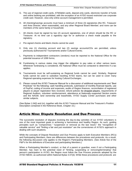- G. The use of regional credit cards, ATM/debit cards, deposit-only cards, electronic transfer of funds and online banking are prohibited, with the exception of an AYSO issued restricted use corporate credit card. However, view-only online account management is permitted;
- H. All checking/savings accounts must have a minimum of three (3) signatories (the RC, Treasurer and Area Director, when reasonable), and any other Regional Board Member; and none can be members of the same family or household;
- I. All checks must be signed by two (2) account signatories, one of whom should be the RC or Treasurer. At no time can a signatory sign for or authorize a check made payable to the signatory.
- J. Pre-signed checks and blank checks cannot be used;
- K. Only one (1) checking account and two (2) savings accounts/CDs are permitted, unless previously authorized for Tournaments and/or Cultural Events;
- L. Payments to independent contractors (vendors) must be reported to the National Office for the potential issuance of 1099 forms;
- M. Fundraising in various states may trigger the obligation to pay sales or other various taxes. Whenever fundraising is considered, the National Office must be contacted to determine if a tax applies;
- N. Tournaments must be self-sustaining as Regional funds cannot be used. Similarly, Regional funds cannot be used to subsidize traveling AYSO teams, but can be used to cover many Regional operating expenses for hosting Cultural Exchanges;
- O. Please consult the AYSO Treasurer Manual for a discussion of additional requirements and "Best Practices" for the following: cash handling protocols, submission of monthly financial reports, use of PayPal, coding of income and expenses, audits of Region finances, reconciliation of registered players to player registration fees received, refund policies for dropped players, requirements of Regional Auditors, volunteer reimbursement, attendance at Nationally-supported Section events and the NAGM, land ownership and leaseholds, AYSO Supply Center purchases and other similar subjects.

(See Bylaw 1.04(l) and (m), together with the AYSO Treasurer Manual and the Treasurer's Position Description contained in the Reference Book, Chapter 15.)

### <span id="page-14-0"></span>Article Nine: Dispute Resolution and Due Process

The successful resolution of disputes involving the day-to-day activities of our AYSO volunteers is one of the most important goals in achieving a harmonious and healthy Region. As such, guiding principles such as "compromise," "suspension or removal as the last resort," the "recognition of valuable service" and "finding a fair and just resolution" are the cornerstones of AYSO's approach in dealing with such situations.

While the concepts of Dispute Resolution and Due Process apply to both Executive Members (RCs) and Participating Members, there are differences between the procedures and protocols. As a result, the following discussion only applies to the Region's Participating Members. (See Article five of the P&P's for the definitions of Executive and participating Members.)

When a Participating Member's conduct, or that of a parent or guardian, even if not a Participating Member, has risen to the potential need of "limiting, suspending or removing/terminating" that person's participation in AYSO, the Region must follow the Due Process protocols adopted by the AYSO NBOD, as authorized within National Bylaw 3.07(d). While these procedures and protocols are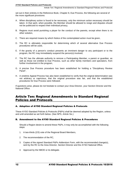set out in their entirety in the Reference Book, Chapter 8, Due Process, the following are several of the more significant provisions:

- A. When disciplinary action is found to be necessary, only the minimum action necessary should be taken. In that spirit, when possible, the Member should be allowed to resign and disputes should not be publicized to respect their individual privacy,
- B. Regions must avoid punishing a player for the conduct of the parents, except when there is no other solution,
- C. There are required means by which Notice of the contemplated action must be given,
- D. The RC is ultimately responsible for determining which of several alternative Due Process procedures will be used,
- E. If the gravity of a person's conduct presents an imminent danger to any participant or to the program, the RC may immediately suspend the person(s) involved,
- F. The RC has the ultimate authority to remove a Participating Member, a parent or guardian, as well as those not entitled to Due Process, such as other family members and spectators, from further involvement in the program,
- G. A precise Due Process procedure has been established for holding a "Disciplinary Review Panel",
- H. A onetime Appeal Process has also been established to verify that the original determination was not arbitrary or capricious, that the original procedure was fair, and that the established procedures for Due Process were followed.

If questions arise, please do not hesitate to contact your Area Director, your Section Director and the National Office.

### <span id="page-15-0"></span>Article Ten: Regional Amendments to Standard Regional Policies and Protocols

#### <span id="page-15-1"></span>A. Adoption of AYSO Standard Regional Policies & Protocols

These AYSO Standard Policies & Protocols (P&Ps) shall be deemed adopted by the Region, unless and until amended as set forth below. (See NPS, Article Six.)

#### <span id="page-15-2"></span>B. Amendment to the AYSO Standard Regional Policies & Procedures

Should a Region desire to amend these P&Ps, it may only be accomplished with the following steps:

- 1. A two-thirds (2/3) vote of the Regional Board Members,
- 2. The recommendation of the RC,
- 3. Copies of the signed Standard P&Ps Addendum Form, with the recommended change(s), sent by the RC to the Area Director, Section Director and the AYSO National Office,
- 4. Approval by the NBOD or its delegate.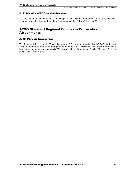#### <span id="page-16-0"></span>C. Publication of P&Ps and Addendums

The Region must make these P&Ps, along with any Regional addendums, if they exist, available upon request to the members of the Region pursuant to Bylaws 1.04(i) and (l).

## <span id="page-16-1"></span>AYSO Standard Regional Policies & Protocols - **Attachments**

#### <span id="page-16-2"></span>A. SR P&Ps Addendum Form

This form, available on the AYSO website, [www.AYSO.org a](http://www.ayso.org/)t the following link, SR P&Ps Addendum Form, is intended to capture all appropriate changes to the SR P&Ps that the Region determines is best for its members and community. This could include, for example, "having  $\frac{3}{4}$  play before any player played the full game".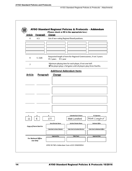Г

٦

| <b>Article</b> | Paragraph                  | Change                                       |                                                                                                                                         |                                     |  |
|----------------|----------------------------|----------------------------------------------|-----------------------------------------------------------------------------------------------------------------------------------------|-------------------------------------|--|
| 6              | A.3.                       | List of non-voting Regional Board positions. |                                                                                                                                         |                                     |  |
|                |                            |                                              |                                                                                                                                         |                                     |  |
|                |                            |                                              |                                                                                                                                         |                                     |  |
|                |                            |                                              |                                                                                                                                         |                                     |  |
|                |                            |                                              |                                                                                                                                         |                                     |  |
| 6              | E. 2.(d)                   | O 2 years<br>O 1 year                        | Requested length of term for Regional Commissioner, if not 3 years:                                                                     |                                     |  |
| $\overline{7}$ |                            |                                              | Minimum playing time for each player, if not one-half:<br>$\boxtimes$ No player plays a full game until all players play three-fourths. |                                     |  |
|                |                            |                                              | <b>Additional Addendum Items</b>                                                                                                        |                                     |  |
| <b>Article</b> | Paragraph                  | Change                                       |                                                                                                                                         |                                     |  |
|                |                            |                                              |                                                                                                                                         |                                     |  |
|                |                            |                                              |                                                                                                                                         |                                     |  |
|                |                            |                                              |                                                                                                                                         |                                     |  |
|                |                            |                                              |                                                                                                                                         |                                     |  |
|                |                            |                                              |                                                                                                                                         |                                     |  |
|                |                            |                                              |                                                                                                                                         |                                     |  |
|                |                            |                                              |                                                                                                                                         |                                     |  |
|                |                            |                                              |                                                                                                                                         |                                     |  |
|                |                            |                                              |                                                                                                                                         |                                     |  |
|                |                            |                                              |                                                                                                                                         |                                     |  |
|                |                            | R                                            | <b>Submitted by RC Name</b>                                                                                                             | <b>RC</b> Signature                 |  |
| s              | E                          | 177                                          | Matt Lunsford                                                                                                                           | Matt Lunsford                       |  |
| 11             |                            | <b>Area Director Name</b>                    | <b>Section Director Name</b>                                                                                                            | <b>National Office</b>              |  |
|                |                            |                                              |                                                                                                                                         |                                     |  |
|                | Copy of Form Sent to       |                                              |                                                                                                                                         |                                     |  |
|                |                            | Date Sent to Area Director                   | <b>Date Sent to Section Director</b>                                                                                                    | <b>Date Sent to National Office</b> |  |
|                |                            |                                              |                                                                                                                                         |                                     |  |
|                | <b>For National Office</b> | Approved by                                  | <b>Title/Team</b>                                                                                                                       | <b>Approval Date</b>                |  |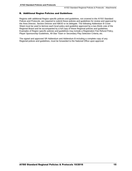#### <span id="page-18-0"></span>B. Additional Region Policies and Guidelines

Regions with additional Region specific policies and guidelines, not covered in the AYSO Standard Polices and Protocols, are required to submit these policies and guidelines for review and approval by the Area Director, Section Director and NBOD or its delegate. The following Addendum B Cover Sheet must be used to itemize each local policy and guideline approved by a two-thirds vote of the Regional Board and be accompanied by a full copy of these Regional policies and guidelines. Examples of Region specific policies and guidelines may include a Registration Fee Refund Policy, Player Sponsorship Guidelines, All-Star Team or Secondary Play Selection Criteria, etc.

The signed and approved SR Addendum and Addendum B including a complete copy of any Regional polices and guidelines, must be forwarded to the National Office upon approval.